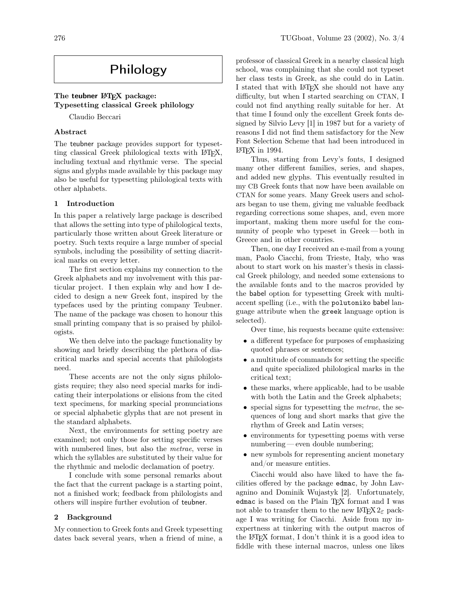# Philology

## The teubner LAT<sub>EX</sub> package: Typesetting classical Greek philology

Claudio Beccari

#### Abstract

The teubner package provides support for typesetting classical Greek philological texts with L<sup>AT</sup>FX, including textual and rhythmic verse. The special signs and glyphs made available by this package may also be useful for typesetting philological texts with other alphabets.

### 1 Introduction

In this paper a relatively large package is described that allows the setting into type of philological texts, particularly those written about Greek literature or poetry. Such texts require a large number of special symbols, including the possibility of setting diacritical marks on every letter.

The first section explains my connection to the Greek alphabets and my involvement with this particular project. I then explain why and how I decided to design a new Greek font, inspired by the typefaces used by the printing company Teubner. The name of the package was chosen to honour this small printing company that is so praised by philologists.

We then delve into the package functionality by showing and briefly describing the plethora of diacritical marks and special accents that philologists need.

These accents are not the only signs philologists require; they also need special marks for indicating their interpolations or elisions from the cited text specimens, for marking special pronunciations or special alphabetic glyphs that are not present in the standard alphabets.

Next, the environments for setting poetry are examined; not only those for setting specific verses with numbered lines, but also the *metrae*, verse in which the syllables are substituted by their value for the rhythmic and melodic declamation of poetry.

I conclude with some personal remarks about the fact that the current package is a starting point, not a finished work; feedback from philologists and others will inspire further evolution of teubner.

### 2 Background

My connection to Greek fonts and Greek typesetting dates back several years, when a friend of mine, a

professor of classical Greek in a nearby classical high school, was complaining that she could not typeset her class tests in Greek, as she could do in Latin. I stated that with LAT<sub>EX</sub> she should not have any difficulty, but when I started searching on CTAN, I could not find anything really suitable for her. At that time I found only the excellent Greek fonts designed by Silvio Levy [1] in 1987 but for a variety of reasons I did not find them satisfactory for the New Font Selection Scheme that had been introduced in LATEX in 1994.

Thus, starting from Levy's fonts, I designed many other different families, series, and shapes, and added new glyphs. This eventually resulted in my CB Greek fonts that now have been available on CTAN for some years. Many Greek users and scholars began to use them, giving me valuable feedback regarding corrections some shapes, and, even more important, making them more useful for the community of people who typeset in Greek— both in Greece and in other countries.

Then, one day I received an e-mail from a young man, Paolo Ciacchi, from Trieste, Italy, who was about to start work on his master's thesis in classical Greek philology, and needed some extensions to the available fonts and to the macros provided by the babel option for typesetting Greek with multiaccent spelling (i.e., with the polutoniko babel language attribute when the greek language option is selected).

Over time, his requests became quite extensive:

- a different typeface for purposes of emphasizing quoted phrases or sentences;
- a multitude of commands for setting the specific and quite specialized philological marks in the critical text;
- these marks, where applicable, had to be usable with both the Latin and the Greek alphabets;
- special signs for typesetting the metrae, the sequences of long and short marks that give the rhythm of Greek and Latin verses;
- environments for typesetting poems with verse numbering— even double numbering;
- new symbols for representing ancient monetary and/or measure entities.

Ciacchi would also have liked to have the facilities offered by the package edmac, by John Lavagnino and Dominik Wujastyk [2]. Unfortunately, edmac is based on the Plain TEX format and I was not able to transfer them to the new  $\text{LATEX} 2_{\epsilon}$  package I was writing for Ciacchi. Aside from my inexpertness at tinkering with the output macros of the LATEX format, I don't think it is a good idea to fiddle with these internal macros, unless one likes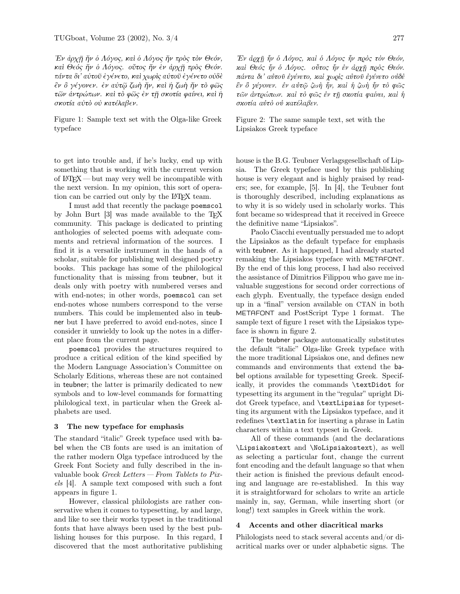Έν άρχη ήν ο Λόγος, και ο Λόγος ήν προς τον Θεόν, καί Θεός ήν ο Λόγος. ούτος ήν έν άρχη πρός Θεόν. πάντα δι' αύτοῦ ἐγένετο, καὶ χωρὶς αὐτοῦ ἐγένετο οὐδὲ *ềv δ γέγονεν. ἐν αύτ*ῷ ζωὴ ῆν, καὶ ἡ ζωὴ ῆν τὸ φῶς τῶν ἀντρώπων. καί τὸ φῶς ἐν τῆ σκοτία φαίνει, καί ἡ σκοτία αύτό ού κατέλαβεν.

Figure 1: Sample text set with the Olga-like Greek typeface

to get into trouble and, if he's lucky, end up with something that is working with the current version of  $\text{LFT}X$  but may very well be incompatible with the next version. In my opinion, this sort of operation can be carried out only by the L<sup>AT</sup>EX team.

I must add that recently the package poemscol by John Burt [3] was made available to the TEX community. This package is dedicated to printing anthologies of selected poems with adequate comments and retrieval information of the sources. I find it is a versatile instrument in the hands of a scholar, suitable for publishing well designed poetry books. This package has some of the philological functionality that is missing from teubner, but it deals only with poetry with numbered verses and with end-notes; in other words, poemscol can set end-notes whose numbers correspond to the verse numbers. This could be implemented also in teubner but I have preferred to avoid end-notes, since I consider it unwieldy to look up the notes in a different place from the current page.

poemscol provides the structures required to produce a critical edition of the kind specified by the Modern Language Association's Committee on Scholarly Editions, whereas these are not contained in teubner; the latter is primarily dedicated to new symbols and to low-level commands for formatting philological text, in particular when the Greek alphabets are used.

#### The new typeface for emphasis 3

The standard "italic" Greek typeface used with babel when the CB fonts are used is an imitation of the rather modern Olga typeface introduced by the Greek Font Society and fully described in the invaluable book  $\emph{Greek Letters}$  - From Tablets to Pixels [4]. A sample text composed with such a font appears in figure 1.

However, classical philologists are rather conservative when it comes to typesetting, by and large, and like to see their works typeset in the traditional fonts that have always been used by the best publishing houses for this purpose. In this regard, I discovered that the most authoritative publishing

Έν άρχη ήν ο Λόγος, και ο Λόγος ήν πρός τον Θεόν, καί Θεός ήν δ Λόγος. ούτος ήν έν άρχη πρός Θεόν. πάντα δι' αύτοῦ ἐγένετο, καί χωρίς αὐτοῦ ἐγένετο οὐδὲ έν δ γέγονεν. έν αύτῷ ζωή ἦν, καί ἡ ζωή ἦν τὸ φῶς τῶν ἀντρώπων. καί τὸ φῶς ἐν τỹ σκοτία φαίνει, καί ή σκοτία αύτό ού κατέλαβεν.

Figure 2: The same sample text, set with the Lipsiakos Greek typeface

house is the B.G. Teubner Verlagsgesellschaft of Lipsia. The Greek type face used by this publishing house is very elegant and is highly praised by readers; see, for example,  $[5]$ . In  $[4]$ , the Teubner font is thoroughly described, including explanations as to why it is so widely used in scholarly works. This font became so widespread that it received in Greece the definitive name "Lipsiakos".

Paolo Ciacchi eventually persuaded me to adopt the Lipsiakos as the default typeface for emphasis with teubner. As it happened, I had already started remaking the Lipsiakos typeface with METAFONT. By the end of this long process, I had also received the assistance of Dimitrios Filippou who gave me invaluable suggestions for second order corrections of each glyph. Eventually, the typeface design ended up in a "final" version available on CTAN in both METAFONT and PostScript Type 1 format. The sample text of figure 1 reset with the Lipsiakos typeface is shown in figure 2.

The teubner package automatically substitutes the default "italic" Olga-like Greek typeface with the more traditional Lipsiakos one, and defines new commands and environments that extend the babel options available for typesetting Greek. Specifically, it provides the commands \textDidot for type setting its argument in the "regular" upright Didot Greek typeface, and \textLipsias for typesetting its argument with the Lipsiakos typeface, and it redefines \textlatin for inserting a phrase in Latin characters within a text typeset in Greek.

All of these commands (and the declarations \Lipsiakostext and \NoLipsiakostext), as well as selecting a particular font, change the current font encoding and the default language so that when their action is finished the previous default encoding and language are re-established. In this way it is straightforward for scholars to write an article mainly in, say, German, while inserting short (or long!) text samples in Greek within the work.

#### $\overline{\mathbf{4}}$ Accents and other diacritical marks

Philologists need to stack several accents and/or diacritical marks over or under alphabetic signs. The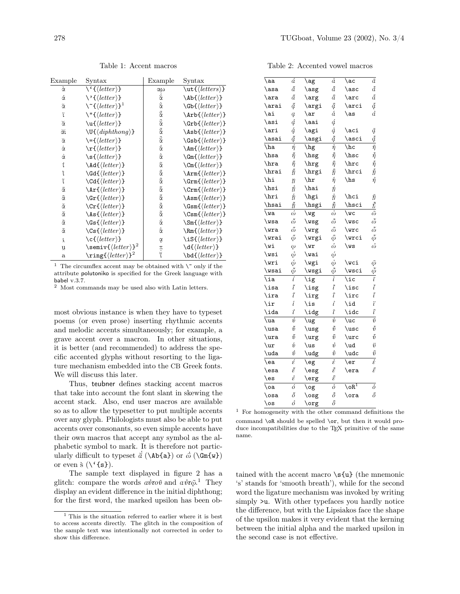Table 2: Accented vowel macros

| Example             | Syntax                                                           | Example                          | $\text{Syntax}$                                                       |
|---------------------|------------------------------------------------------------------|----------------------------------|-----------------------------------------------------------------------|
| à                   | $\setminus \{ \langle letter \rangle \}$                         | αω                               | $\text{letters}$                                                      |
| ά                   | $\backslash$ '{ $\langle$ <i>letter</i> }}                       | ά                                | $\hbox{\bf\&left}(letter)$ }                                          |
| $\tilde{\alpha}$    | $\Upsilon^{(letter)}$                                            | ά                                | $\Bbb{G}$ b{ $\langle letter\rangle$ }                                |
| ï                   | $\\left\langle \cdot\right\rangle$ + { $\langle letter\rangle$ } | ğζ                               | $\hat{\text{t}}$                                                      |
| ă                   | $\u{\text{letter}}$                                              | å                                | $\left\langle \text{drb}\right\{ \left\langle letter\right\rangle \}$ |
| ăι                  | $\U{diphthong}$                                                  | ğά                               | $\{\left\}$                                                           |
| $\overline{\alpha}$ | $\setminus = \{\langle letter \rangle\}$                         | ğ                                | $\S$ sb{ $\langle letter\rangle$ }                                    |
| ά                   | $\mathbf{r}$ { $\langle letter \rangle$ }                        | $\vec{\alpha}$                   | $\langle$ Am{ $\langle$ letter}}                                      |
| ά                   | $\setminus$ s $\{\langle letter\rangle\}$                        | $\dot{\overline{\alpha}}$        | $\Im\$ (letter)}                                                      |
| ί                   | \Ad{\letter\}                                                    | $\widetilde{\overline{\alpha}}$  | $\operatorname{Cm}(\langle letter \rangle)$                           |
| ì                   | $\d{Gd}$ { $\langle letter\rangle$ }                             | $\tilde{\vec{\alpha}}$           | $\lambda r m \{\langle letter \rangle\}$                              |
| ĩ                   | \Cd{\letter\}                                                    | $\hat{\bar{\alpha}}$             | $\Gamma(\langle letter \rangle)$                                      |
| ά                   | $\text{Tr}\left\{\text{letter}\right\}$                          | $\tilde{\vec{\alpha}}$           | $\text{Crm}\{\text{letter}\}$                                         |
| â                   | $\left\langle \text{cft}(\text{letter}) \right\rangle$           | $\check{\bar{\alpha}}$           | $\lambda \text{sm}\{\langle letter\rangle\}$                          |
| $\tilde{\alpha}$    | $\C{r}{\langle letter\rangle}$                                   | $\ddot{\hat{\overline{\alpha}}}$ | $\Sm\{\langle letter\rangle\}$                                        |
| ά                   | $\text{As}$ { $\langle letter\rangle$ }                          | $\tilde{\vec{\alpha}}$           | $\text{Csm}\{\langle letter\rangle\}$                                 |
| ä                   | $\S\$ { $\langle letter\rangle$ }                                | $\dot{\vec{\alpha}}$             | $\mathcal{S}m\{\langle letter\rangle\}$                               |
| ã                   | $\csc\{letter\}$                                                 | $\dot{\bar{\alpha}}$             | $\mathbb{R} \left( \left\langle letter \right\rangle \right)$         |
| ř                   | $\c\{\langle letter\rangle\}$                                    | ά                                | \iS{\letter\}                                                         |
| ũ                   | $\setminus$ semiv $\{ \text{letter} \}^2$                        | エンド                              | $\d{\langle letter\rangle\}$                                          |
| $\mathbf{a}$        | $\langle \text{letter} \rangle$ <sup>2</sup>                     |                                  | \bd{(letter)}                                                         |

 $^1\,$  The circumflex accent may be obtained with  $\backslash\tilde{}$  only if the attribute polutoniko is specified for the Greek language with babel v.3.7.

<sup>2</sup> Most commands may be used also with Latin letters.

most obvious instance is when they have to typeset poems (or even prose) inserting rhythmic accents and melodic accents simultaneously; for example, a grave accent over a macron. In other situations, it is better (and recommended) to address the specific accented glyphs without resorting to the ligature mechanism embedded into the CB Greek fonts. We will discuss this later.

Thus, teubner defines stacking accent macros that take into account the font slant in skewing the accent stack. Also, end user macros are available so as to allow the typesetter to put multiple accents over any glyph. Philologists must also be able to put accents over consonants, so even simple accents have their own macros that accept any symbol as the alphabetic symbol to mark. It is therefore not particularly difficult to typeset  $\check{a}$  (\Ab{a}) or  $\dot{\bar{\omega}}$  (\Gm{w}) or even  $\zeta(\check{\mathsf{s}})$ .

The sample text displayed in figure 2 has a glitch: compare the words  $a\dot{v}\tau\tilde{o}^{\dagger}$  and  $a\dot{v}\tau\tilde{\varphi}^{\dagger}$ . They display an evident difference in the initial diphthong; for the first word, the marked upsilon has been ob-

| \aa                         | á                           | \ag                                                | $\dot{a}$                  | \ac                     | $\tilde{a}$                        |
|-----------------------------|-----------------------------|----------------------------------------------------|----------------------------|-------------------------|------------------------------------|
| $\simeq$                    | ă                           | $\setminus$ asg                                    | å                          | $\backslash \text{asc}$ | ã                                  |
| $\arctan$                   | å                           | $\arg$                                             | â                          | $\arct$                 | ã                                  |
| $\arai$                     | ą                           | $\arg i$                                           | ą                          | $\arci$                 | $\tilde{q}$                        |
| \ai                         | $\mathfrak{a}$              | $\arctan$                                          | å                          | $\a$ s                  | å                                  |
| $\lambda$ si                | $\mathring{d}$              | \aai                                               | $\acute{a}$                |                         |                                    |
| $\ar{i}$                    | ą                           | $\qquad$                                           | ą                          | $\setminus$ aci         | $\tilde{a}$                        |
| $\lambda$                   | $\tilde{d}$                 | $\setminus$ asgi                                   | $\ddot{a}$                 | $\s<$ asci              | ą                                  |
| $\sqrt{ha}$                 | ή                           | $\bar{\mathcal{A}}$                                | $\dot{\eta}$               | $\sqrt{hc}$             | $\tilde{\eta}$                     |
| \hsa                        | $\tilde{\eta}$              | $\verb \hspace{0.2em} $                            | $\ddot{\hat{\eta}}$        | \hsc                    | $\tilde{\eta}$                     |
| \hra $\,$                   | $\tilde{\eta}$              | $\hbox{\rm\thinspace\,}$                           | $\tilde{\eta}$             | $\verb \hrc $           | $\tilde{\eta}$                     |
| \hrai                       | $\tilde{\eta}$              | \hrgi                                              | ที                         | \hrci                   | $\tilde{\eta}$                     |
| $\hbox{\rm\thinspace hi}$   | $\eta$                      | \hr                                                | $\mathring{\eta}$          | \hs                     | $\mathring{\eta}$                  |
| \hsi                        | ทิ                          | \hai                                               | ή                          |                         |                                    |
| \hri                        | ń                           | \hgi                                               | 'n                         | \hci                    | $\widetilde{\eta}$                 |
| $\hspace{0.1em}\text{hsai}$ | ท้                          | \hsgi                                              | กิ                         | \hsci                   | $\tilde{t}$                        |
| \wa                         | $\overline{\acute{\omega}}$ | \wg                                                | $\overline{\omega}$        | \wc                     | $\overline{\tilde{\omega}}$        |
| $\sqrt{wsa}$                | $\tilde{\omega}$            | \wsg                                               | $\ddot{\omega}$            | $\sqrt{wsc}$            | $\tilde{\omega}$                   |
| $\sqrt{w}$ ra               | $\mathring{\omega}$         | \wrg                                               | $\ddot{\omega}$            | \wrc                    | $\tilde{\omega}$                   |
| \wrai                       | $\tilde{\phi}$              | \wrgi                                              | $\ddot{\phi}$              | \wrci                   | $\tilde{\phi}$                     |
| \wi                         | $\omega$                    | $\sqrt{wr}$                                        | $\mathring{\omega}$        | $\sqrt{ws}$             | $\vec{\omega}$                     |
| $\text{Wsi}$                | $\vec{\phi}$                | \wai                                               | $\acute{\omega}$           |                         |                                    |
| \wri                        | $\mathring{\omega}$         | \wgi                                               | $\dot{\phi}$               | \wci                    | $\tilde{\omega}$                   |
| \wsai                       | $\tilde{\phi}$              | \wsgi                                              | $\vec{\phi}$               | \wsci                   | $\tilde{\phi}$                     |
| \ia                         | $\overline{\mathfrak{l}}$   | $\overline{\mathcal{N}}$ ig                        | $\overline{i}$             | \ic                     | $\overline{\widetilde{\iota}}$     |
| $\iota$ sa                  | ĩ                           | $\iota$                                            | $\tilde{l}$                | $\iota$ sc              | ĩ                                  |
| $\langle \text{ira}$        | ĩ                           | $\langle \text{irg}$                               | $\tilde{l}$                | $\iota$                 | ĩ                                  |
| $\{\text{ir}$               | î                           | \is                                                | $\hat{l}$                  | \id                     | $\ddot{i}$                         |
| $\lambda$                   | ť                           | \idg                                               | ť                          | $\backslash$ idc        | ĩ                                  |
| \ua                         | ύ                           | \ug                                                | $\dot{v}$                  | $\u$ c                  | $\tilde{v}$                        |
| $\us$                       | $\tilde{\tilde{v}}$         | \usg                                               | $\ddot{v}$                 | $\_{usc}$               | $\tilde{v}$                        |
| $\sqrt{ar}$                 | $\tilde{v}$                 | $\arg$                                             | $\hat{v}$                  | $\sqrt{arc}$            | $\tilde{\dot{v}}$                  |
| $\sqrt{u}$                  | $\mathring{v}$              | $\sqrt{us}$                                        | $\mathring{v}$             | $\u$                    | $\ddot{v}$                         |
| \uda                        | $\acute{v}$                 | \udg                                               | $\dot{v}$                  | \udc                    | $\tilde{v}$                        |
| \ea                         | έ                           | $\log$                                             | έ                          | $\er$                   | $\overline{\mathcal{\varepsilon}}$ |
| $\simeq$                    | έ                           | $\operatorname{\backslash} \operatorname{\sf esg}$ | $\ddot{\hat{\mathcal{E}}}$ | $\era$                  | $\tilde{\mathcal{E}}$              |
| $\sqrt{es}$                 | $\mathring{\mathcal{E}}$    | $\ker$ g                                           | $\hat{\varepsilon}$        |                         |                                    |
| \oa                         | $\overline{\acute{o}}$      | \og                                                | $\overline{\dot{o}}$       | $\sqrt{\circ R^{1}}$    | $\overline{\delta}$                |
| $\backslash$ osa            | ő                           | $\log$                                             | ő                          | $\sqrt{$                | ő                                  |
| $\setminus$ os              | $\vec{o}$                   | \org                                               | $\ddot{o}$                 |                         |                                    |

<sup>1</sup> For homogeneity with the other command definitions the command \oR should be spelled \or, but then it would produce incompatibilities due to the TEX primitive of the same name.

tained with the accent macro  $\s u$  (the mnemonic 's' stands for 'smooth breath'), while for the second word the ligature mechanism was invoked by writing simply >u. With other typefaces you hardly notice the difference, but with the Lipsiakos face the shape of the upsilon makes it very evident that the kerning between the initial alpha and the marked upsilon in the second case is not effective.

Table 1: Accent macros

 $^{\rm 1}$  This is the situation referred to earlier where it is best to access accents directly. The glitch in the composition of the sample text was intentionally not corrected in order to show this difference.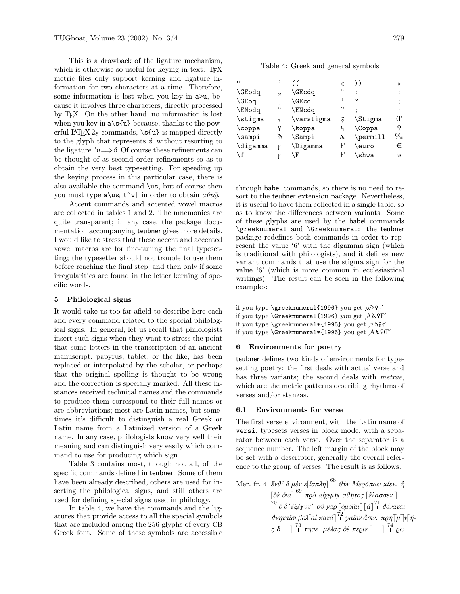This is a drawback of the ligature mechanism, which is otherwise so useful for keying in text: TEX metric files only support kerning and ligature information for two characters at a time. Therefore, some information is lost when you key in  $a > u$ , because it involves three characters, directly processed by TEX. On the other hand, no information is lost when you key in a\s{u} because, thanks to the powerful  $\text{H}\_\text{F}X2_{\varepsilon}$  commands,  $\s(u)$  is mapped directly to the glyph that represents  $\dot{\theta}$ , without resorting to the ligature  $\psi \Longrightarrow \mathbf{v}$ . Of course these refinements can be thought of as second order refinements so as to obtain the very best typesetting. For speeding up the keying process in this particular case, there is also available the command \us, but of course then you must type  $a\u_s_t^w|$  in order to obtain  $a\dot{v}\tilde{w}$ .

Accent commands and accented vowel macros are collected in tables 1 and 2. The mnemonics are quite transparent; in any case, the package documentation accompanying teubner gives more details. I would like to stress that these accent and accented vowel macros are for fine-tuning the final typesetting; the typesetter should not trouble to use them before reaching the final step, and then only if some irregularities are found in the letter kerning of specific words.

#### 5 Philological signs

It would take us too far afield to describe here each and every command related to the special philological signs. In general, let us recall that philologists insert such signs when they want to stress the point that some letters in the transcription of an ancient manuscript, papyrus, tablet, or the like, has been replaced or interpolated by the scholar, or perhaps that the original spelling is thought to be wrong and the correction is specially marked. All these instances received technical names and the commands to produce them correspond to their full names or are abbreviations; most are Latin names, but sometimes it's difficult to distinguish a real Greek or Latin name from a Latinized version of a Greek name. In any case, philologists know very well their meaning and can distinguish very easily which command to use for producing which sign.

Table 3 contains most, though not all, of the specific commands defined in teubner. Some of them have been already described, others are used for inserting the philological signs, and still others are used for defining special signs used in philology.

In table 4, we have the commands and the ligatures that provide access to all the special symbols that are included among the 256 glyphs of every CB Greek font. Some of these symbols are accessible

### Table 4: Greek and general symbols

|             |            | «                          | ))       | ≫        |
|-------------|------------|----------------------------|----------|----------|
| ,           | \GEcdq     | $\mathfrak{c}\mathfrak{c}$ |          |          |
| ,           | \GEcq      | 6                          | ?        |          |
| 44          | \ENcdq     | "                          |          |          |
| $\varsigma$ | \varstigma | 5                          | \Stigma  | Œ        |
|             | \koppa     |                            | \Coppa   |          |
| λ           | \Sampi     | λ                          | \permill | $\%$ o   |
| F           | \Digamma   | F                          | \euro    | €        |
|             | ١F         | F                          | \shwa    | $\Theta$ |
|             |            |                            |          |          |

through babel commands, so there is no need to resort to the teubner extension package. Nevertheless, it is useful to have them collected in a single table, so as to know the differences between variants. Some of these glyphs are used by the babel commands \greeknumeral and \Greeknumeral: the teubner package redefines both commands in order to represent the value '6' with the digamma sign (which is traditional with philologists), and it defines new variant commands that use the stigma sign for the value '6' (which is more common in ecclesiastical writings). The result can be seen in the following examples:

if you type \greeknumeral{1996} you get  $\alpha \gamma$ if you type \Greeknumeral{1996} you get AAQF' if you type \greeknumeral\*{1996} you get αλγτ' if you type  $\G$ reeknumeral\*{1996} you get  $A\Lambda$ ? I'

#### 6 Environments for poetry

teubner defines two kinds of environments for typesetting poetry: the first deals with actual verse and has three variants; the second deals with *metrae*, which are the metric patterns describing rhythms of verses and/or stanzas.

#### 6.1 Environments for verse

The first verse environment, with the Latin name of versi, typesets verses in block mode, with a separator between each verse. Over the separator is a sequence number. The left margin of the block may be set with a descriptor, generally the overall reference to the group of verses. The result is as follows:

```
Mer. fr. 4 ἔνθ' δ μὲν ε[ἰσπλη] ^{68}_{\perp} θὺν Μερόπων κίεν. ή
            [\deltaἑ δια] ^{69} π\varrhoό αἶχεμῆι σθῆτος [ἔλασσεν.]
            \overset{70}{\phantom{1}} \overset{70}{\delta} \delta' \mathring{\epsilon}ξέχυτ'\cdot οὐ γὰ\varrho [ὁμοῖαι] \left[\widetilde{d}\right] \overset{71}{\phantom{1}} θάναται
            θνηταῖσι βολ[aὶ κατὰ\ ]^{72}_{+} γαῖαν ἄσιν. π\varrho\eta[\![\mu]\!]ν[\tilde{\eta}-
            ς δ. . . ] \overset{73}{\shortparallel} τησε. μέλας δὲ περιε.\left[\dots\right] \overset{74}{\shortparallel} ρω
```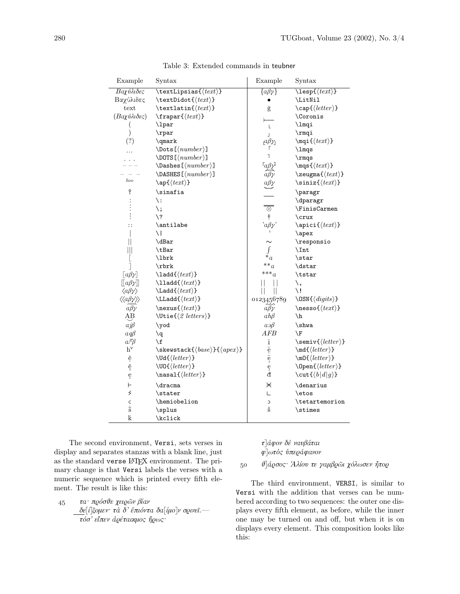| Example                                         | Syntax                                       | Example                    | Syntax                                        |
|-------------------------------------------------|----------------------------------------------|----------------------------|-----------------------------------------------|
| Βαχύλιδες                                       | $\texttt{Lipsias}({\textit{text}})$          | $\{a\beta\gamma\}$         | $\text{lesp}\left\{\text{text}\right\}$       |
| Βαχύλιδες                                       | $\text{testDidot}\{\text{text}\}$            |                            | \LitNil                                       |
| text                                            | \textlatin $\{\langle text \rangle\}$        | $\hat{\mathbf{g}}$         | $\cap\{\langle letter\rangle\}$               |
| (Βαχύλιδες)                                     | $\frac{\text{text}}{\}$                      |                            | <b>\Coronis</b>                               |
|                                                 | $\lq$ lpar                                   | Г                          | \lmqi                                         |
| $\mathcal{)}$                                   | $\n\$ {rpar}                                 | L                          | $\text{rmqi}$                                 |
| (?)                                             | \qmark                                       | $a\beta y_1$               | $\mqi({\ell}$                                 |
|                                                 | $\text{Dots}$ [ $\langle number \rangle$ ]   | Г                          | \lmqs                                         |
|                                                 | $\D$ OOTS[ $\langle number \rangle$ ]        | $\overline{1}$             | $\rm\$                                        |
|                                                 | $\{\text{Dashes}\{\text{number}\}\}$         | $\lceil a\beta\rangle$     | $\mgs{(text)}$                                |
|                                                 | $\Delta$ SHES[ $\langle number \rangle$ ]    | $a\beta p$                 | $\text{zeugma}$ { $\text{text}$ }             |
| foo                                             | $\ap{\varphi(text)}$                         |                            | $\siniz {\langle text \rangle}$               |
| 9                                               | \sinafia                                     |                            | \paragr                                       |
|                                                 | \ :                                          |                            | \dparagr                                      |
|                                                 | \;                                           | $\otimes$                  | <b>\FinisCarmen</b>                           |
|                                                 | $\backslash$ ?                               | $\ddagger$                 | $\c{r}$                                       |
| $\vdots$                                        | \antilabe                                    | $a\beta y$                 | $\verb \apici{\langle text \rangle}$          |
|                                                 | ١I                                           |                            | \apex                                         |
| $\parallel$                                     | \dBar                                        |                            | \responsio                                    |
| Ш                                               | \tBar                                        |                            | $\int$ Int                                    |
| L                                               | \lbrk                                        | $*_{a}$                    | $\text{\backslash} \texttt{star}$             |
| 1                                               | $\mathbf{x}$                                 | $**_a$                     | $\text{\backslash} \text{d} \text{star}$      |
| $[a\beta \gamma]$                               | $\lambda$ ladd $\{\langle text \rangle\}$    | $***_a$                    | $\texttt{\texttt{text}}$                      |
| $\llbracket a\beta\nu \rrbracket$               | $\lambda$ lladd $\{\langle text \rangle\}$   |                            | ١,                                            |
| $\langle a\beta\rangle$                         | $\text{Ladd}(\text{text})$                   | Ш                          | \!                                            |
| $\langle \langle a\beta \gamma \rangle \rangle$ | $\text{LLadd}({\ell}$                        | 0123456789                 | $\verb \OSN{ \text{digits}\rangle} $          |
| $a\beta\gamma$                                  | \nexus{ $\langle text \rangle$ }             | $a\hat{\beta}\hat{\gamma}$ | $\n\text{nessof}\langle text \rangle$         |
| АB                                              | $\text{Utie}\$ letters)}                     | $ah\beta$                  | \h                                            |
| $aj\beta$                                       | \yod                                         | $a \partial \beta$         | \shwa                                         |
| $a\mathfrak{q}\beta$                            | $\mathbf{q}$                                 | AFB                        | \F                                            |
| $aF\beta$                                       | \f                                           | $\underline{\textbf{i}}$   | $\setminus$ semiv $\{\langle letter\rangle\}$ |
| $h^v$                                           | $\verb \skewstack { { \langle apez \rangle}$ |                            | $\md{\langle letter\rangle}$                  |
| $\check{\mathrm{e}}$                            | $\U{d}{\langle letter\rangle}$               | $\frac{1}{6}$              | $\m0\{\langle letter\rangle\}$                |
| ĕ                                               | $\U{0}$ { $\langle letter \rangle$ }         | ę                          | $\Omega$                                      |
| ę                                               | $\n\nasal({letter})$                         | đ                          | \cut $\left\langle b d g\right\rangle$ }      |
| ⊢                                               | \dracma                                      | ⋇                          | \denarius                                     |
| $\overline{\phantom{a}}$                        | \stater                                      | L                          | \etos                                         |
| C                                               | \hemiobelion                                 | C                          | \tetartemorion                                |
| $\overline{s}$                                  | \splus                                       | $\check{\mathbf{s}}$       | \stimes                                       |
| $\mathbf k$                                     | \kclick                                      |                            |                                               |

Table 3: Extended commands in teubner

The second environment, Versi, sets verses in display and separates stanzas with a blank line, just as the standard verse LATEX environment. The primary change is that Versi labels the verses with a numeric sequence which is printed every fifth element. The result is like this:

 $\overline{a}$ 

 $t_4$ <sub>5</sub>  $\tau a \cdot \pi \varrho \acute{o} \sigma \vartheta \varepsilon \chi$ ει $\varrho \widetilde{\omega}$ ν βίαν  $\delta$ ε[ί]ξομεν· τὰ δ' ἐπιόντα δα[ίμο]ν σοινεῖ. τόσ' εἶπεν ἀρέταικμος ἥρως·

 $\tau$ <sup>λ</sup>άφον δέ ναυβάται  $\varphi$ ]ωτός ύπεράφανον

50  $\vartheta$  *άρσος* Άλίου τε γαμβρῶι χόλωσεν ἦτορ

The third environment, VERSI, is similar to Versi with the addition that verses can be numbered according to two sequences: the outer one displays every fifth element, as before, while the inner one may be turned on and off, but when it is on displays every element. This composition looks like this: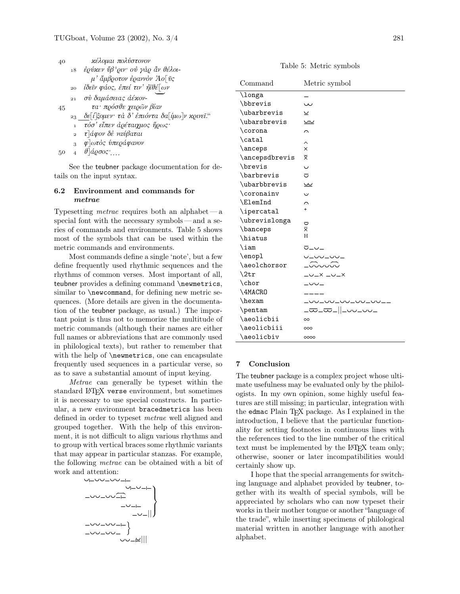| 40 |                | κέλομαι πολύστονον                           |
|----|----------------|----------------------------------------------|
|    | 18             | έρύκεν ΰβ' ριν· οὐ γάρ ἆν θέλοι-             |
|    |                | $\mu'$ ἄμβροτον έραννόν Άο δες               |
|    | 20             | ίδεῖν φάος, ἐπεί τιν' ἠϊθέ[ων                |
|    | 21             | σύ δαμάσειας άέκον-                          |
| 45 |                | τα· πρόσθε χειρῶν βίαν                       |
|    |                | 23 δε[ίξομεν τα δ' έπιόντα δα[ίμω]ν κρινεϊ." |
|    | $\mathbf{1}$   | τόσ' εἶπεν ἀρέταιχμος ἥρως·                  |
|    | $\overline{a}$ | $\tau$ <sup>λ</sup> άφον δε ναύβαται         |
|    | $\mathbf{a}$   | φλωτός υπεράφανον                            |
|    |                | $914$ cosan                                  |

50  $\frac{1}{4}$   $\frac{\partial}{\partial \varrho}$   $\frac{\partial}{\partial \varrho}$ 

See the teubner package documentation for details on the input syntax.

#### $6.2$ Environment and commands for metrae

Typesetting *metrae* requires both an alphabet  $-a$ special font with the necessary symbols—and a series of commands and environments. Table 5 shows most of the symbols that can be used within the metric commands and environments.

Most commands define a single 'note', but a few define frequently used rhythmic sequences and the rhythms of common verses. Most important of all, teubner provides a defining command \newmetrics, similar to \newcommand, for defining new metric sequences. (More details are given in the documentation of the teubner package, as usual.) The important point is thus not to memorize the multitude of metric commands (although their names are either full names or abbreviations that are commonly used in philological texts), but rather to remember that with the help of \newmetrics, one can encapsulate frequently used sequences in a particular verse, so as to save a substantial amount of input keying.

Metrae can generally be typeset within the standard IATFX verse environment, but sometimes it is necessary to use special constructs. In particular, a new environment bracedmetrics has been defined in order to typeset *metrae* well aligned and grouped together. With the help of this environment, it is not difficult to align various rhythms and to group with vertical braces some rhythmic variants that may appear in particular stanzas. For example, the following *metrae* can be obtained with a bit of work and attention:



Table 5: Metric symbols

| Command        | Metric symbol          |  |  |
|----------------|------------------------|--|--|
| \longa         |                        |  |  |
| \bbrevis       | س                      |  |  |
| \ubarbrevis    | ⊻                      |  |  |
| \ubarsbrevis   | $\underline{\cup\cup}$ |  |  |
| \corona        | C                      |  |  |
| \catal         | ᄉ                      |  |  |
| \anceps        | ×                      |  |  |
| \ancepsdbrevis | X                      |  |  |
| \brevis        | $\check{ }$            |  |  |
| \barbrevis     | ರ                      |  |  |
| \ubarbbrevis   | <u>س</u>               |  |  |
| \coronainv     | ن                      |  |  |
| \ElemInd       | ⌒                      |  |  |
| \ipercatal     | $^{+}$                 |  |  |
| \ubrevislonga  | U                      |  |  |
| \banceps       | $\bar{\mathsf{x}}$     |  |  |
| \hiatus        | H                      |  |  |
| \iam           | マー〜ー                   |  |  |
| \enopl         | レーハレーハー                |  |  |
| \aeolchorsor   | −ೡೡೡ                   |  |  |
| $\chi$         | $  \times$ $  \times$  |  |  |
| \chor          | $ \cup$ $\cup$         |  |  |
| \4MACRO        |                        |  |  |
| \hexam         | -00-00-00-00-00-       |  |  |
| \pentam        | <u>______ _____</u>    |  |  |
| \aeolicbii     | oo                     |  |  |
| \aeolicbiii    | 000                    |  |  |
| \aeolicbiv     | 0000                   |  |  |

#### $\overline{7}$ Conclusion

The teubner package is a complex project whose ultimate usefulness may be evaluated only by the philologists. In my own opinion, some highly useful features are still missing; in particular, integration with the edmac Plain TFX package. As I explained in the introduction, I believe that the particular functionality for setting footnotes in continuous lines with the references tied to the line number of the critical text must be implemented by the LAT<sub>F</sub>X team only; otherwise, sooner or later incompatibilities would certainly show up.

I hope that the special arrangements for switching language and alphabet provided by teubner, together with its wealth of special symbols, will be appreciated by scholars who can now typeset their works in their mother tongue or another "language of the trade", while inserting specimens of philological material written in another language with another alphabet.